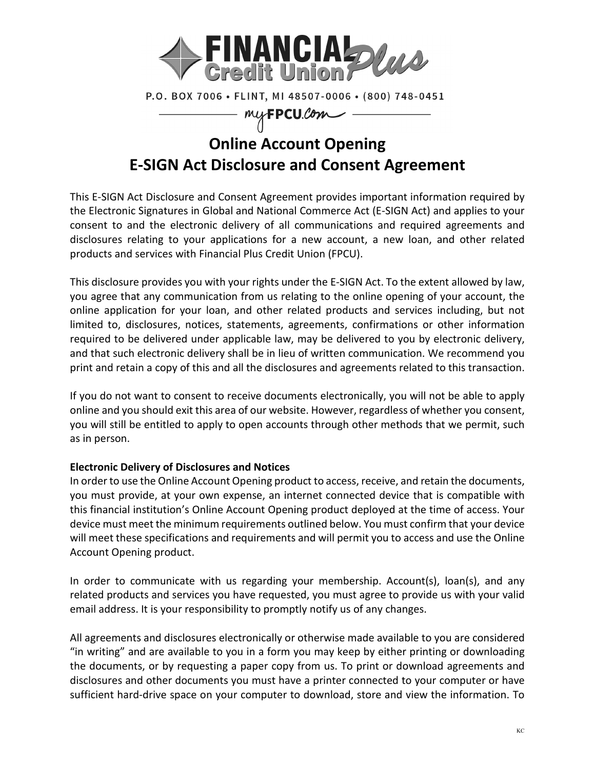

P.O. BOX 7006 · FLINT, MI 48507-0006 · (800) 748-0451

myFPCU.Com

# **Online Account Opening E-SIGN Act Disclosure and Consent Agreement**

This E-SIGN Act Disclosure and Consent Agreement provides important information required by the Electronic Signatures in Global and National Commerce Act (E-SIGN Act) and applies to your consent to and the electronic delivery of all communications and required agreements and disclosures relating to your applications for a new account, a new loan, and other related products and services with Financial Plus Credit Union (FPCU).

This disclosure provides you with your rights under the E-SIGN Act. To the extent allowed by law, you agree that any communication from us relating to the online opening of your account, the online application for your loan, and other related products and services including, but not limited to, disclosures, notices, statements, agreements, confirmations or other information required to be delivered under applicable law, may be delivered to you by electronic delivery, and that such electronic delivery shall be in lieu of written communication. We recommend you print and retain a copy of this and all the disclosures and agreements related to this transaction.

If you do not want to consent to receive documents electronically, you will not be able to apply online and you should exit this area of our website. However, regardless of whether you consent, you will still be entitled to apply to open accounts through other methods that we permit, such as in person.

## **Electronic Delivery of Disclosures and Notices**

In order to use the Online Account Opening product to access, receive, and retain the documents, you must provide, at your own expense, an internet connected device that is compatible with this financial institution's Online Account Opening product deployed at the time of access. Your device must meet the minimum requirements outlined below. You must confirm that your device will meet these specifications and requirements and will permit you to access and use the Online Account Opening product.

In order to communicate with us regarding your membership. Account(s), loan(s), and any related products and services you have requested, you must agree to provide us with your valid email address. It is your responsibility to promptly notify us of any changes.

All agreements and disclosures electronically or otherwise made available to you are considered "in writing" and are available to you in a form you may keep by either printing or downloading the documents, or by requesting a paper copy from us. To print or download agreements and disclosures and other documents you must have a printer connected to your computer or have sufficient hard-drive space on your computer to download, store and view the information. To